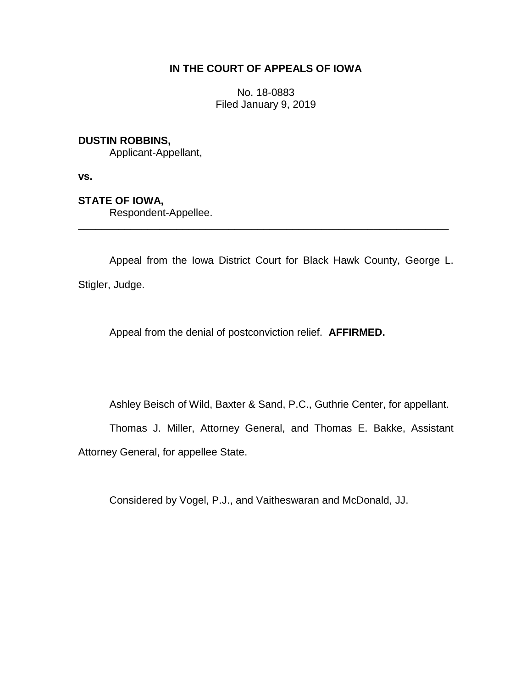# **IN THE COURT OF APPEALS OF IOWA**

No. 18-0883 Filed January 9, 2019

## **DUSTIN ROBBINS,**

Applicant-Appellant,

**vs.**

### **STATE OF IOWA,**

Respondent-Appellee.

Appeal from the Iowa District Court for Black Hawk County, George L. Stigler, Judge.

\_\_\_\_\_\_\_\_\_\_\_\_\_\_\_\_\_\_\_\_\_\_\_\_\_\_\_\_\_\_\_\_\_\_\_\_\_\_\_\_\_\_\_\_\_\_\_\_\_\_\_\_\_\_\_\_\_\_\_\_\_\_\_\_

Appeal from the denial of postconviction relief. **AFFIRMED.**

Ashley Beisch of Wild, Baxter & Sand, P.C., Guthrie Center, for appellant.

Thomas J. Miller, Attorney General, and Thomas E. Bakke, Assistant

Attorney General, for appellee State.

Considered by Vogel, P.J., and Vaitheswaran and McDonald, JJ.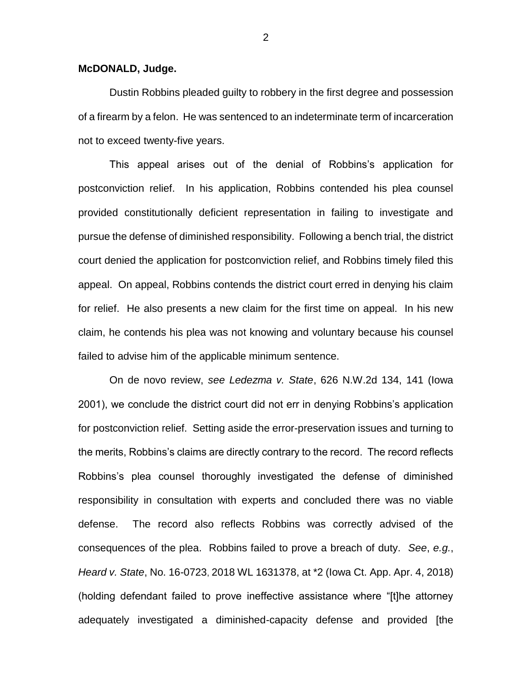#### **McDONALD, Judge.**

Dustin Robbins pleaded guilty to robbery in the first degree and possession of a firearm by a felon. He was sentenced to an indeterminate term of incarceration not to exceed twenty-five years.

This appeal arises out of the denial of Robbins's application for postconviction relief. In his application, Robbins contended his plea counsel provided constitutionally deficient representation in failing to investigate and pursue the defense of diminished responsibility. Following a bench trial, the district court denied the application for postconviction relief, and Robbins timely filed this appeal. On appeal, Robbins contends the district court erred in denying his claim for relief. He also presents a new claim for the first time on appeal. In his new claim, he contends his plea was not knowing and voluntary because his counsel failed to advise him of the applicable minimum sentence.

On de novo review, *see Ledezma v. State*, 626 N.W.2d 134, 141 (Iowa 2001), we conclude the district court did not err in denying Robbins's application for postconviction relief. Setting aside the error-preservation issues and turning to the merits, Robbins's claims are directly contrary to the record. The record reflects Robbins's plea counsel thoroughly investigated the defense of diminished responsibility in consultation with experts and concluded there was no viable defense. The record also reflects Robbins was correctly advised of the consequences of the plea. Robbins failed to prove a breach of duty. *See*, *e.g.*, *Heard v. State*, No. 16-0723, 2018 WL 1631378, at \*2 (Iowa Ct. App. Apr. 4, 2018) (holding defendant failed to prove ineffective assistance where "[t]he attorney adequately investigated a diminished-capacity defense and provided [the

2